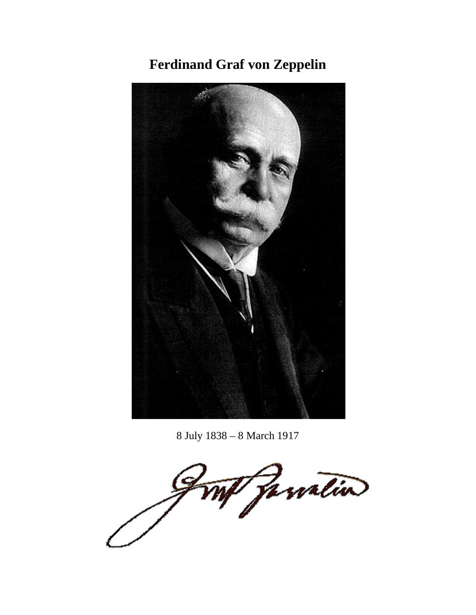## **Ferdinand Graf von Zeppelin**



8 July 1838 – 8 March 1917

mp famation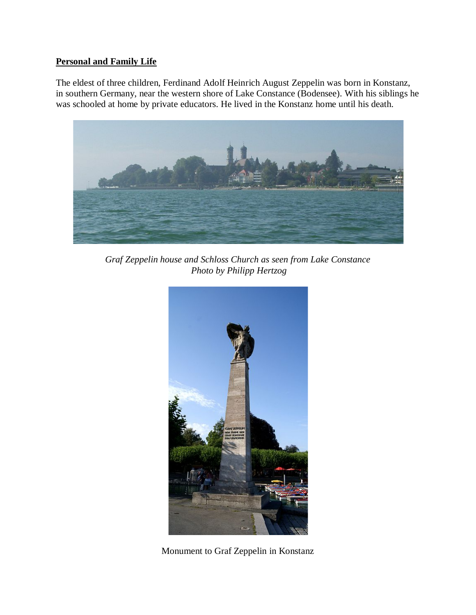## **Personal and Family Life**

The eldest of three children, Ferdinand Adolf Heinrich August Zeppelin was born in Konstanz, in southern Germany, near the western shore of Lake Constance (Bodensee). With his siblings he was schooled at home by private educators. He lived in the Konstanz home until his death.



*Graf Zeppelin house and Schloss Church as seen from Lake Constance Photo by Philipp Hertzog*



Monument to Graf Zeppelin in Konstanz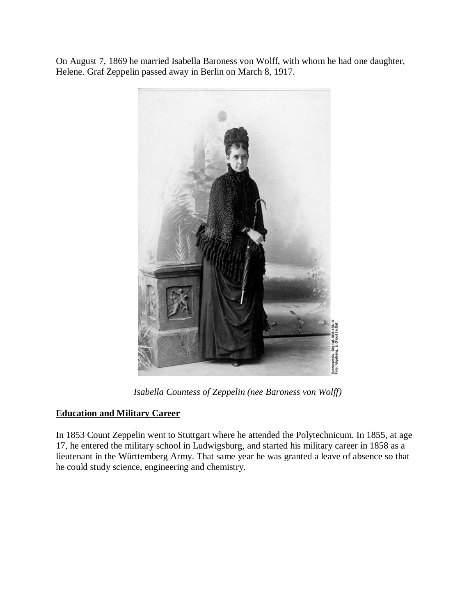On August 7, 1869 he married Isabella Baroness von Wolff, with whom he had one daughter, Helene. Graf Zeppelin passed away in Berlin on March 8, 1917.



*Isabella Countess of Zeppelin (nee Baroness von Wolff)*

## **Education and Military Career**

In 1853 Count Zeppelin went to Stuttgart where he attended the Polytechnicum. In 1855, at age 17, he entered the military school in Ludwigsburg, and started his military career in 1858 as a lieutenant in the Württemberg Army. That same year he was granted a leave of absence so that he could study science, engineering and chemistry.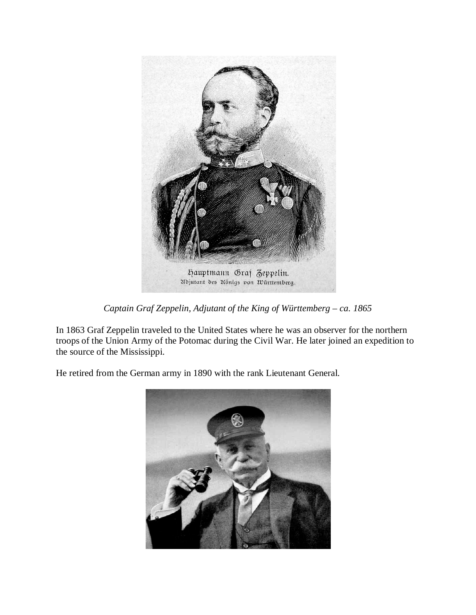

*Captain Graf Zeppelin, Adjutant of the King of Württemberg – ca. 1865*

In 1863 Graf Zeppelin traveled to the United States where he was an observer for the northern troops of the Union Army of the Potomac during the Civil War. He later joined an expedition to the source of the Mississippi.

He retired from the German army in 1890 with the rank Lieutenant General.

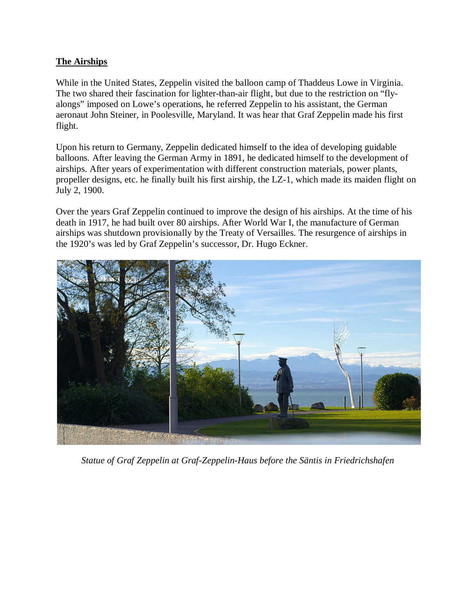## **The Airships**

While in the United States, Zeppelin visited the balloon camp of Thaddeus Lowe in Virginia. The two shared their fascination for lighter-than-air flight, but due to the restriction on "flyalongs" imposed on Lowe's operations, he referred Zeppelin to his assistant, the German aeronaut John Steiner, in Poolesville, Maryland. It was hear that Graf Zeppelin made his first flight.

Upon his return to Germany, Zeppelin dedicated himself to the idea of developing guidable balloons. After leaving the German Army in 1891, he dedicated himself to the development of airships. After years of experimentation with different construction materials, power plants, propeller designs, etc. he finally built his first airship, the LZ-1, which made its maiden flight on July 2, 1900.

Over the years Graf Zeppelin continued to improve the design of his airships. At the time of his death in 1917, he had built over 80 airships. After World War I, the manufacture of German airships was shutdown provisionally by the Treaty of Versailles. The resurgence of airships in the 1920's was led by Graf Zeppelin's successor, Dr. Hugo Eckner.



*Statue of Graf Zeppelin at Graf-Zeppelin-Haus before the Säntis in Friedrichshafen*